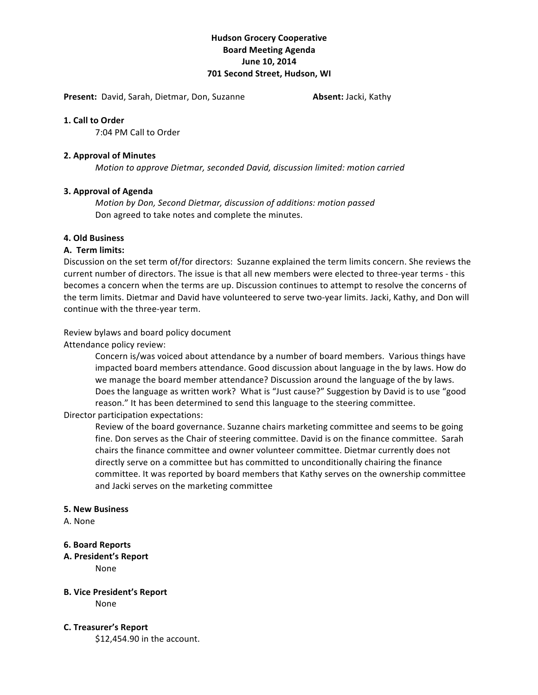# **Hudson'Grocery'Cooperative Board'Meeting'Agenda** June 10, 2014 **701 Second Street, Hudson, WI**

**Present:** David, Sarah, Dietmar, Don, Suzanne **1988 Absent:** Jacki, Kathy

### **1. Call to Order**

7:04 PM Call to Order

### **2.'Approval'of'Minutes**

*Motion to approve Dietmar, seconded David, discussion limited: motion carried* 

# **3. Approval of Agenda**

*Motion by Don, Second Dietmar, discussion of additions: motion passed* Don agreed to take notes and complete the minutes.

# **4.'Old'Business**

### **A.** Term limits:

Discussion on the set term of/for directors: Suzanne explained the term limits concern. She reviews the current number of directors. The issue is that all new members were elected to three-year terms - this becomes a concern when the terms are up. Discussion continues to attempt to resolve the concerns of the term limits. Dietmar and David have volunteered to serve two-year limits. Jacki, Kathy, and Don will continue with the three-year term.

Review bylaws and board policy document

Attendance policy review:

Concern is/was voiced about attendance by a number of board members. Various things have impacted board members attendance. Good discussion about language in the by laws. How do we manage the board member attendance? Discussion around the language of the by laws. Does the language as written work? What is "Just cause?" Suggestion by David is to use "good reason." It has been determined to send this language to the steering committee.

Director participation expectations:

Review of the board governance. Suzanne chairs marketing committee and seems to be going fine. Don serves as the Chair of steering committee. David is on the finance committee. Sarah chairs the finance committee and owner volunteer committee. Dietmar currently does not directly serve on a committee but has committed to unconditionally chairing the finance committee. It was reported by board members that Kathy serves on the ownership committee and Jacki serves on the marketing committee

#### **5.'New'Business**

A. None

#### **6.'Board'Reports**

**A.'President's'Report** None

# **B. Vice President's Report**

None!

#### **C.'Treasurer's'Report**

\$12,454.90 in the account.